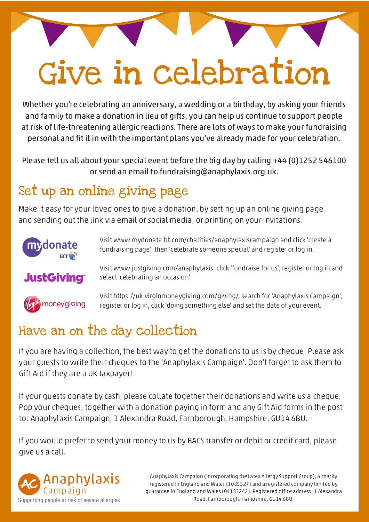# Give in celebration

Whether you're celebrating an anniversary, a wedding or a birthday, by asking your friends and family to make a donation in lieu of gifts, you can help us continue to support people at risk of life-threatening allergic reactions. There are lots of ways to make your fundraising personal and fit it in with the important plans you've already made for your celebration.

Please tell us all about your special event before the big day by calling +44 (0)1252 546100 or send an email to fundraising@anaphylaxis.org.uk.

### Set up an online giving page

Make it easy for your loved ones to give a donation, by setting up an online giving page and sending out the link via email or social media, or printing on your invitations.

select 'celebrating an occasion'.



Visit www.mydonate.bt.com/charities/anaphylaxiscampaign and click 'create a fundraising page', then 'celebrate someone special' and register or log in.

#### **JustGiving®**



Visit https://uk.virginmoneygiving.com/giving/, search for 'Anaphylaxis Campaign', register or log in, click 'doing something else' and set the date of your event.

Visit www.justgiving.com/anaphylaxis, click 'fundraise for us', register or log in and

#### Have an on the day collection

If you are having a collection, the best way to get the donations to us is by cheque. Please ask your guests to write their cheques to the 'Anaphylaxis Campaign'. Don't forget to ask them to Gift Aid if they are a UK taxpayer!

If your guests donate by cash, please collate together their donations and write us a cheque. Pop your cheques, together with a donation paying in form and any Gift Aid forms in the post to: Anaphylaxis Campaign, 1 Alexandra Road, Farnborough, Hampshire, GU14 6BU.

If you would prefer to send your money to us by BACS transfer or debit or credit card, please give us a call.



Anaphylaxis Campaign (incorporating the Latex Allergy Support Group), a charity registered in England and Wales (1085527) and a registered company limited by guarantee in England and Wales (04133242). Registered office address: 1 Alexandra Road, Farnborough, Hampshire, GU14 6BU.